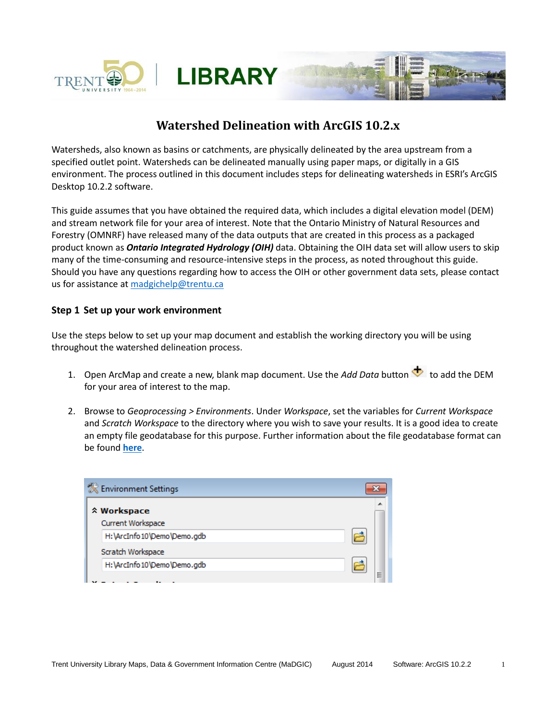

# **Watershed Delineation with ArcGIS 10.2.x**

Watersheds, also known as basins or catchments, are physically delineated by the area upstream from a specified outlet point. Watersheds can be delineated manually using paper maps, or digitally in a GIS environment. The process outlined in this document includes steps for delineating watersheds in ESRI's ArcGIS Desktop 10.2.2 software.

This guide assumes that you have obtained the required data, which includes a digital elevation model (DEM) and stream network file for your area of interest. Note that the Ontario Ministry of Natural Resources and Forestry (OMNRF) have released many of the data outputs that are created in this process as a packaged product known as *Ontario Integrated Hydrology (OIH)* data. Obtaining the OIH data set will allow users to skip many of the time-consuming and resource-intensive steps in the process, as noted throughout this guide. Should you have any questions regarding how to access the OIH or other government data sets, please contact us for assistance a[t madgichelp@trentu.ca](mailto:madgichelp@trentu.ca)

# **Step 1 Set up your work environment**

Use the steps below to set up your map document and establish the working directory you will be using throughout the watershed delineation process.

- 1. Open ArcMap and create a new, blank map document. Use the *Add Data* button **tha** to add the DEM for your area of interest to the map.
- 2. Browse to *Geoprocessing > Environments*. Under *Workspace*, set the variables for *Current Workspace* and *Scratch Workspace* to the directory where you wish to save your results. It is a good idea to create an empty file geodatabase for this purpose. Further information about the file geodatabase format can be found **[here](http://www.esri.com/news/arcuser/0309/files/9reasons.pdf)**.

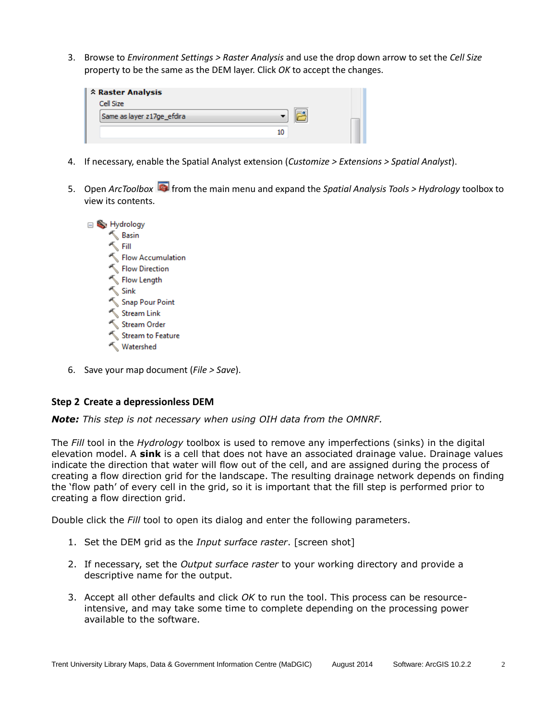3. Browse to *Environment Settings > Raster Analysis* and use the drop down arrow to set the *Cell Size* property to be the same as the DEM layer. Click *OK* to accept the changes.

| <b>A Raster Analysis</b>   |  |
|----------------------------|--|
| Cell Size                  |  |
| Same as layer z17ge_efdira |  |
|                            |  |
|                            |  |

- 4. If necessary, enable the Spatial Analyst extension (*Customize > Extensions > Spatial Analyst*).
- 5. Open *ArcToolbox* from the main menu and expand the *Spatial Analysis Tools > Hydrology* toolbox to view its contents.



6. Save your map document (*File > Save*).

## **Step 2 Create a depressionless DEM**

*Note: This step is not necessary when using OIH data from the OMNRF.*

The *Fill* tool in the *Hydrology* toolbox is used to remove any imperfections (sinks) in the digital elevation model. A **sink** is a cell that does not have an associated drainage value. Drainage values indicate the direction that water will flow out of the cell, and are assigned during the process of creating a flow direction grid for the landscape. The resulting drainage network depends on finding the 'flow path' of every cell in the grid, so it is important that the fill step is performed prior to creating a flow direction grid.

Double click the *Fill* tool to open its dialog and enter the following parameters.

- 1. Set the DEM grid as the *Input surface raster*. [screen shot]
- 2. If necessary, set the *Output surface raster* to your working directory and provide a descriptive name for the output.
- 3. Accept all other defaults and click *OK* to run the tool. This process can be resourceintensive, and may take some time to complete depending on the processing power available to the software.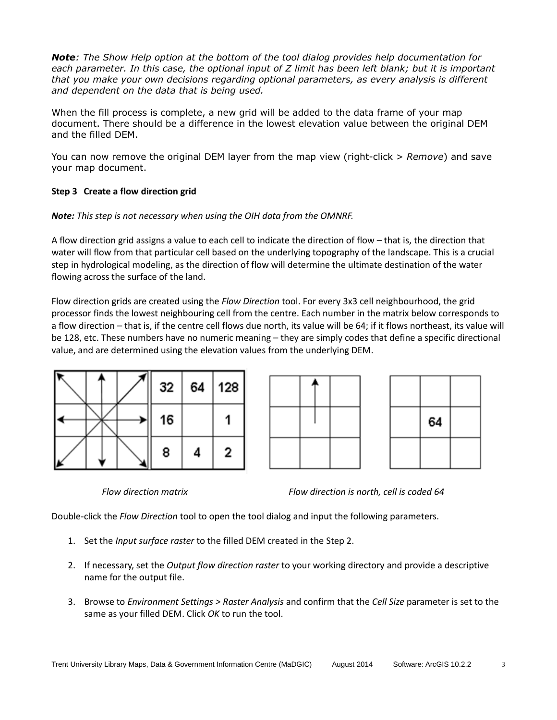*Note: The Show Help option at the bottom of the tool dialog provides help documentation for each parameter. In this case, the optional input of Z limit has been left blank; but it is important that you make your own decisions regarding optional parameters, as every analysis is different and dependent on the data that is being used.*

When the fill process is complete, a new grid will be added to the data frame of your map document. There should be a difference in the lowest elevation value between the original DEM and the filled DEM.

You can now remove the original DEM layer from the map view (right-click > *Remove*) and save your map document.

# **Step 3 Create a flow direction grid**

## *Note: This step is not necessary when using the OIH data from the OMNRF.*

A flow direction grid assigns a value to each cell to indicate the direction of flow – that is, the direction that water will flow from that particular cell based on the underlying topography of the landscape. This is a crucial step in hydrological modeling, as the direction of flow will determine the ultimate destination of the water flowing across the surface of the land.

Flow direction grids are created using the *Flow Direction* tool. For every 3x3 cell neighbourhood, the grid processor finds the lowest neighbouring cell from the centre. Each number in the matrix below corresponds to a flow direction – that is, if the centre cell flows due north, its value will be 64; if it flows northeast, its value will be 128, etc. These numbers have no numeric meaning – they are simply codes that define a specific directional value, and are determined using the elevation values from the underlying DEM.





*Flow direction matrix Flow direction is north, cell is coded 64*

Double-click the *Flow Direction* tool to open the tool dialog and input the following parameters.

- 1. Set the *Input surface raster* to the filled DEM created in the Step 2.
- 2. If necessary, set the *Output flow direction raster* to your working directory and provide a descriptive name for the output file.
- 3. Browse to *Environment Settings > Raster Analysis* and confirm that the *Cell Size* parameter is set to the same as your filled DEM. Click *OK* to run the tool.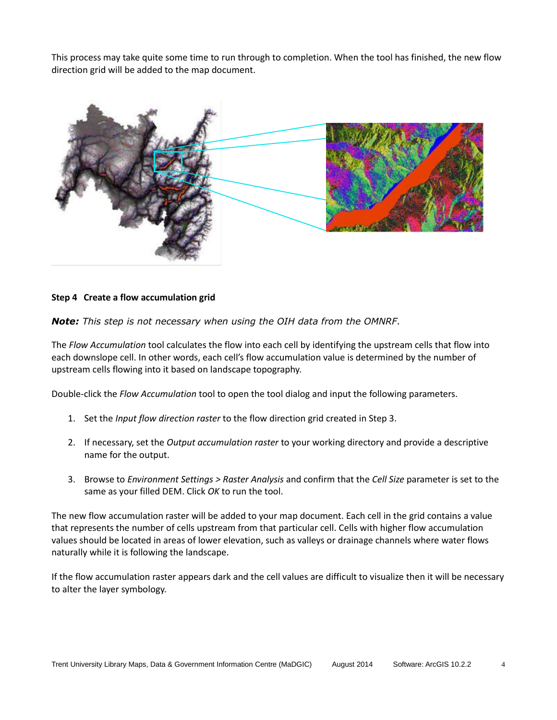This process may take quite some time to run through to completion. When the tool has finished, the new flow direction grid will be added to the map document.



## **Step 4 Create a flow accumulation grid**

*Note: This step is not necessary when using the OIH data from the OMNRF.*

The *Flow Accumulation* tool calculates the flow into each cell by identifying the upstream cells that flow into each downslope cell. In other words, each cell's flow accumulation value is determined by the number of upstream cells flowing into it based on landscape topography.

Double-click the *Flow Accumulation* tool to open the tool dialog and input the following parameters.

- 1. Set the *Input flow direction raster* to the flow direction grid created in Step 3.
- 2. If necessary, set the *Output accumulation raster* to your working directory and provide a descriptive name for the output.
- 3. Browse to *Environment Settings > Raster Analysis* and confirm that the *Cell Size* parameter is set to the same as your filled DEM. Click *OK* to run the tool.

The new flow accumulation raster will be added to your map document. Each cell in the grid contains a value that represents the number of cells upstream from that particular cell. Cells with higher flow accumulation values should be located in areas of lower elevation, such as valleys or drainage channels where water flows naturally while it is following the landscape.

If the flow accumulation raster appears dark and the cell values are difficult to visualize then it will be necessary to alter the layer symbology.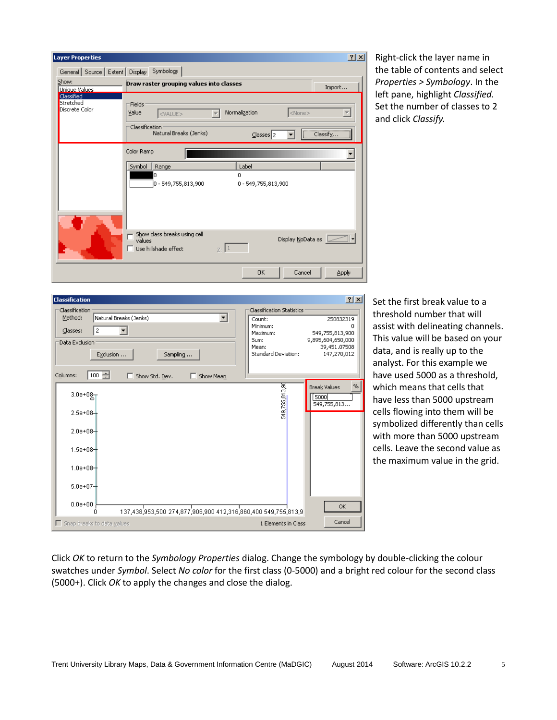

Right-click the layer name in the table of contents and select *Properties > Symbology*. In the left pane, highlight *Classified.* Set the number of classes to 2 and click *Classify.* 

| 2x<br><b>Classification</b>                                                                                                            |                                                                                                            |                                                                                       |  |  |  |
|----------------------------------------------------------------------------------------------------------------------------------------|------------------------------------------------------------------------------------------------------------|---------------------------------------------------------------------------------------|--|--|--|
| Classification<br>Method:<br>Natural Breaks (Jenks)<br>Classes:<br>2<br>Data Exclusion<br>Exclusion<br>Sampling<br>Columns:            | <b>Classification Statistics</b><br>Count:<br>Minimum:<br>Maximum:<br>Sum:<br>Mean:<br>Standard Deviation: | 250832319<br>n<br>549,755,813,900<br>9,895,604,650,000<br>39,451.07508<br>147,270,012 |  |  |  |
| 100 글<br>Show Std. Dev.<br>Show Mean<br>$3.0e + 08 -$<br>$2.5e + 08 +$<br>$2.0e + 08 -$<br>$1.5e + 08$<br>$1.0e + 08$<br>$5.0e + 07 +$ | 549,755,813,90                                                                                             | %<br>Break Values<br>5000<br>549,755,813                                              |  |  |  |
| $0.0e + 00$<br>137,438,953,500 274,877,906,900 412,316,860,400 549,755,813,9<br>Ω                                                      |                                                                                                            | OK.<br>Cancel                                                                         |  |  |  |
| $\Box$ Snap breaks to data values                                                                                                      | 1 Elements in Class                                                                                        |                                                                                       |  |  |  |

Set the first break value to a threshold number that will assist with delineating channels. This value will be based on your data, and is really up to the analyst. For this example we have used 5000 as a threshold, which means that cells that have less than 5000 upstream cells flowing into them will be symbolized differently than cells with more than 5000 upstream cells. Leave the second value as the maximum value in the grid.

Click *OK* to return to the *Symbology Properties* dialog. Change the symbology by double-clicking the colour swatches under *Symbol*. Select *No color* for the first class (0-5000) and a bright red colour for the second class (5000+). Click *OK* to apply the changes and close the dialog.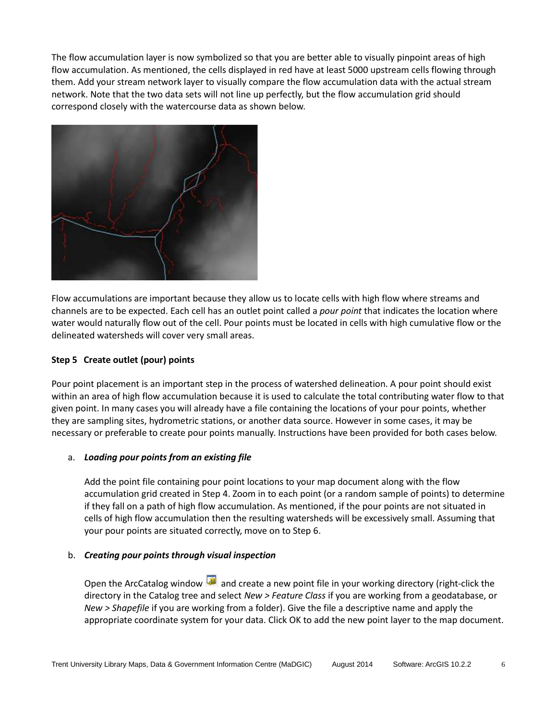The flow accumulation layer is now symbolized so that you are better able to visually pinpoint areas of high flow accumulation. As mentioned, the cells displayed in red have at least 5000 upstream cells flowing through them. Add your stream network layer to visually compare the flow accumulation data with the actual stream network. Note that the two data sets will not line up perfectly, but the flow accumulation grid should correspond closely with the watercourse data as shown below.



Flow accumulations are important because they allow us to locate cells with high flow where streams and channels are to be expected. Each cell has an outlet point called a *pour point* that indicates the location where water would naturally flow out of the cell. Pour points must be located in cells with high cumulative flow or the delineated watersheds will cover very small areas.

# **Step 5 Create outlet (pour) points**

Pour point placement is an important step in the process of watershed delineation. A pour point should exist within an area of high flow accumulation because it is used to calculate the total contributing water flow to that given point. In many cases you will already have a file containing the locations of your pour points, whether they are sampling sites, hydrometric stations, or another data source. However in some cases, it may be necessary or preferable to create pour points manually. Instructions have been provided for both cases below.

## a. *Loading pour points from an existing file*

Add the point file containing pour point locations to your map document along with the flow accumulation grid created in Step 4. Zoom in to each point (or a random sample of points) to determine if they fall on a path of high flow accumulation. As mentioned, if the pour points are not situated in cells of high flow accumulation then the resulting watersheds will be excessively small. Assuming that your pour points are situated correctly, move on to Step 6.

#### b. *Creating pour points through visual inspection*

Open the ArcCatalog window and create a new point file in your working directory (right-click the directory in the Catalog tree and select *New > Feature Class* if you are working from a geodatabase, or *New > Shapefile* if you are working from a folder). Give the file a descriptive name and apply the appropriate coordinate system for your data. Click OK to add the new point layer to the map document.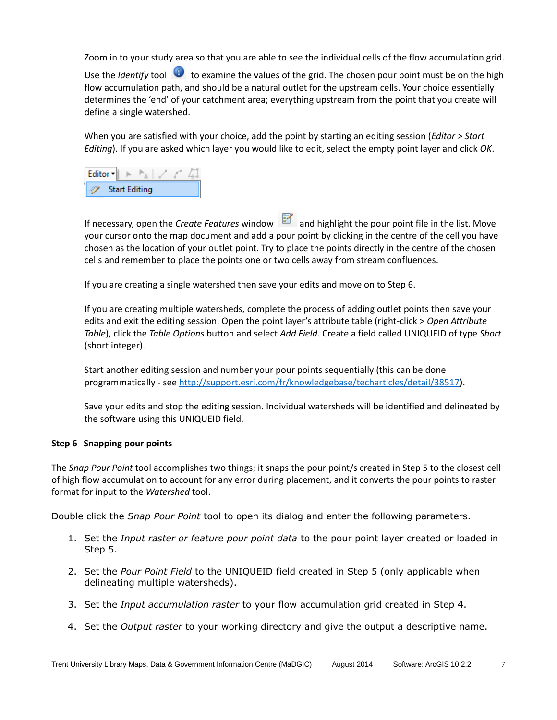Zoom in to your study area so that you are able to see the individual cells of the flow accumulation grid.

Use the *Identify* tool **U** to examine the values of the grid. The chosen pour point must be on the high flow accumulation path, and should be a natural outlet for the upstream cells. Your choice essentially determines the 'end' of your catchment area; everything upstream from the point that you create will define a single watershed.

When you are satisfied with your choice, add the point by starting an editing session (*Editor > Start Editing*). If you are asked which layer you would like to edit, select the empty point layer and click *OK*.



If necessary, open the *Create Features* window and highlight the pour point file in the list. Move your cursor onto the map document and add a pour point by clicking in the centre of the cell you have chosen as the location of your outlet point. Try to place the points directly in the centre of the chosen cells and remember to place the points one or two cells away from stream confluences.

If you are creating a single watershed then save your edits and move on to Step 6.

If you are creating multiple watersheds, complete the process of adding outlet points then save your edits and exit the editing session. Open the point layer's attribute table (right-click > *Open Attribute Table*), click the *Table Options* button and select *Add Field*. Create a field called UNIQUEID of type *Short* (short integer).

Start another editing session and number your pour points sequentially (this can be done programmatically - see [http://support.esri.com/fr/knowledgebase/techarticles/detail/38517\)](http://support.esri.com/fr/knowledgebase/techarticles/detail/38517).

Save your edits and stop the editing session. Individual watersheds will be identified and delineated by the software using this UNIQUEID field.

## **Step 6 Snapping pour points**

The *Snap Pour Point* tool accomplishes two things; it snaps the pour point/s created in Step 5 to the closest cell of high flow accumulation to account for any error during placement, and it converts the pour points to raster format for input to the *Watershed* tool.

Double click the *Snap Pour Point* tool to open its dialog and enter the following parameters.

- 1. Set the *Input raster or feature pour point data* to the pour point layer created or loaded in Step 5.
- 2. Set the *Pour Point Field* to the UNIQUEID field created in Step 5 (only applicable when delineating multiple watersheds).
- 3. Set the *Input accumulation raster* to your flow accumulation grid created in Step 4.
- 4. Set the *Output raster* to your working directory and give the output a descriptive name.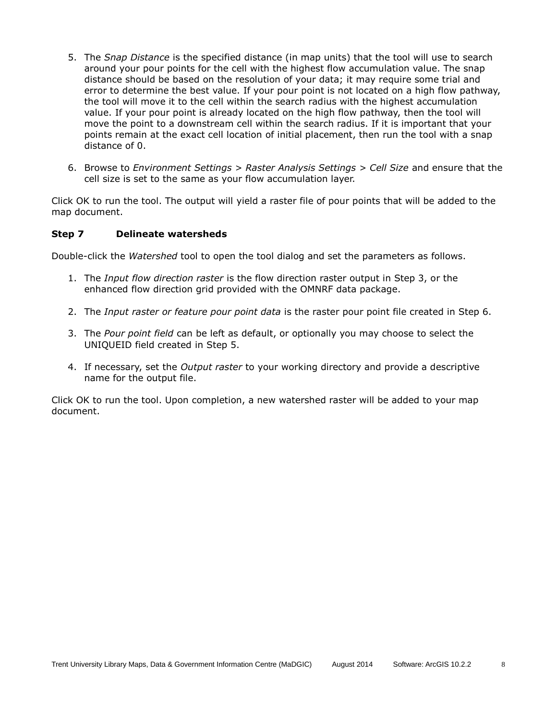- 5. The *Snap Distance* is the specified distance (in map units) that the tool will use to search around your pour points for the cell with the highest flow accumulation value. The snap distance should be based on the resolution of your data; it may require some trial and error to determine the best value. If your pour point is not located on a high flow pathway, the tool will move it to the cell within the search radius with the highest accumulation value. If your pour point is already located on the high flow pathway, then the tool will move the point to a downstream cell within the search radius. If it is important that your points remain at the exact cell location of initial placement, then run the tool with a snap distance of 0.
- 6. Browse to *Environment Settings > Raster Analysis Settings > Cell Size* and ensure that the cell size is set to the same as your flow accumulation layer.

Click OK to run the tool. The output will yield a raster file of pour points that will be added to the map document.

#### **Step 7 Delineate watersheds**

Double-click the *Watershed* tool to open the tool dialog and set the parameters as follows.

- 1. The *Input flow direction raster* is the flow direction raster output in Step 3, or the enhanced flow direction grid provided with the OMNRF data package.
- 2. The *Input raster or feature pour point data* is the raster pour point file created in Step 6.
- 3. The *Pour point field* can be left as default, or optionally you may choose to select the UNIQUEID field created in Step 5.
- 4. If necessary, set the *Output raster* to your working directory and provide a descriptive name for the output file.

Click OK to run the tool. Upon completion, a new watershed raster will be added to your map document.